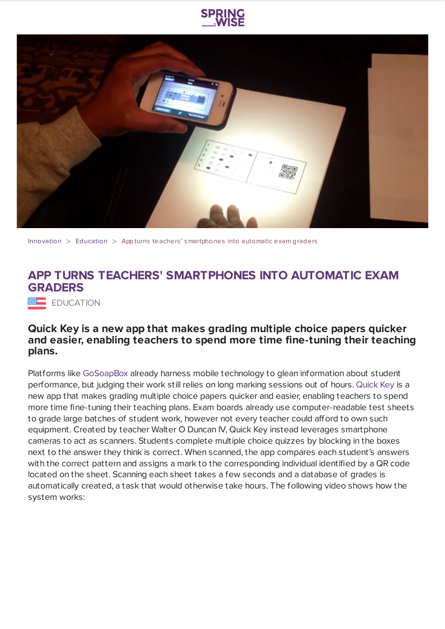



[Innovation](https://www.springwise.com/search?type=innovation)  $>$  [Education](https://www.springwise.com/search?type=innovation§or=education)  $>$  App turns teachers' smartphones into automatic exam graders

## **APP TURNS TEACHERS' SMARTPHONES INTO AUTOMATIC EXAM GRADERS**

**EDUCATION** 

## **Quick Key is a new app that makes grading multiple choice papers quicker and easier, enabling teachers to spend more time fine-tuning their teaching plans.**

Platforms like [GoSoapBox](https://www.springwise.com/education/mobile-app-enables-real-time-student-performance-analysis/) already harness mobile technology to glean information about student performance, but judging their work still relies on long marking sessions out of hours. [Quick](http://www.power2teach.com/) Key is a new app that makes grading multiple choice papers quicker and easier, enabling teachers to spend more time fine-tuning their teaching plans. Exam boards already use computer-readable test sheets to grade large batches of student work, however not every teacher could afford to own such equipment. Created by teacher Walter O Duncan IV, Quick Key instead leverages smartphone cameras to act as scanners. Students complete multiple choice quizzes by blocking in the boxes next to the answer they think is correct. When scanned, the app compares each student's answers with the correct pattern and assigns a mark to the corresponding individual identified by a QR code located on the sheet. Scanning each sheet takes a few seconds and a database of grades is automatically created, a task that would otherwise take hours. The following video shows how the system works: